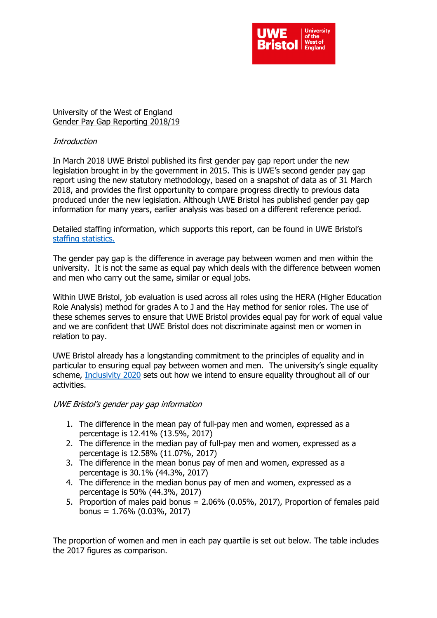

# University of the West of England Gender Pay Gap Reporting 2018/19

## **Introduction**

In March 2018 UWE Bristol published its first gender pay gap report under the new legislation brought in by the government in 2015. This is UWE's second gender pay gap report using the new statutory methodology, based on a snapshot of data as of 31 March 2018, and provides the first opportunity to compare progress directly to previous data produced under the new legislation. Although UWE Bristol has published gender pay gap information for many years, earlier analysis was based on a different reference period.

Detailed staffing information, which supports this report, can be found in UWE Bristol's [staffing statistics.](https://www2.uwe.ac.uk/services/Marketing/about-us/pdf/Staffing-Statistics-2017.pdf)

The gender pay gap is the difference in average pay between women and men within the university. It is not the same as equal pay which deals with the difference between women and men who carry out the same, similar or equal jobs.

Within UWE Bristol, job evaluation is used across all roles using the HERA (Higher Education Role Analysis) method for grades A to J and the Hay method for senior roles. The use of these schemes serves to ensure that UWE Bristol provides equal pay for work of equal value and we are confident that UWE Bristol does not discriminate against men or women in relation to pay.

UWE Bristol already has a longstanding commitment to the principles of equality and in particular to ensuring equal pay between women and men. The university's single equality scheme, [Inclusivity 2020](http://www1.uwe.ac.uk/about/corporateinformation/equalityanddiversity/singleequalityscheme.aspx) sets out how we intend to ensure equality throughout all of our activities.

## UWE Bristol's gender pay gap information

- 1. The difference in the mean pay of full-pay men and women, expressed as a percentage is 12.41% (13.5%, 2017)
- 2. The difference in the median pay of full-pay men and women, expressed as a percentage is 12.58% (11.07%, 2017)
- 3. The difference in the mean bonus pay of men and women, expressed as a percentage is 30.1% (44.3%, 2017)
- 4. The difference in the median bonus pay of men and women, expressed as a percentage is 50% (44.3%, 2017)
- 5. Proportion of males paid bonus = 2.06% (0.05%, 2017), Proportion of females paid bonus =  $1.76\%$  (0.03%, 2017)

The proportion of women and men in each pay quartile is set out below. The table includes the 2017 figures as comparison.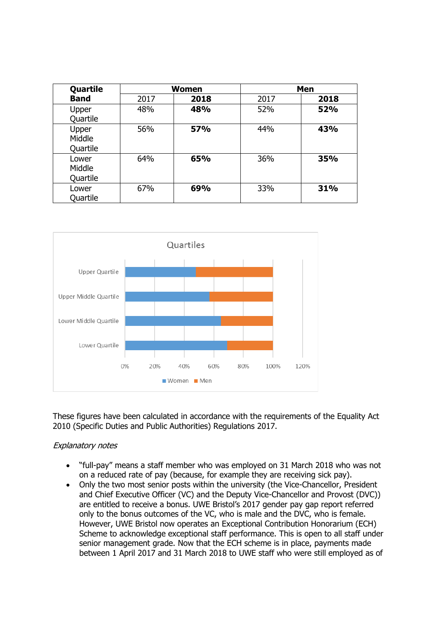| Quartile                    | Women |            | Men  |            |
|-----------------------------|-------|------------|------|------------|
| <b>Band</b>                 | 2017  | 2018       | 2017 | 2018       |
| Upper<br>Quartile           | 48%   | 48%        | 52%  | 52%        |
| Upper<br>Middle<br>Quartile | 56%   | <b>57%</b> | 44%  | 43%        |
| Lower<br>Middle<br>Quartile | 64%   | 65%        | 36%  | <b>35%</b> |
| Lower<br>Quartile           | 67%   | 69%        | 33%  | 31%        |



These figures have been calculated in accordance with the requirements of the Equality Act 2010 (Specific Duties and Public Authorities) Regulations 2017.

## Explanatory notes

- "full-pay" means a staff member who was employed on 31 March 2018 who was not on a reduced rate of pay (because, for example they are receiving sick pay).
- Only the two most senior posts within the university (the Vice-Chancellor, President and Chief Executive Officer (VC) and the Deputy Vice-Chancellor and Provost (DVC)) are entitled to receive a bonus. UWE Bristol's 2017 gender pay gap report referred only to the bonus outcomes of the VC, who is male and the DVC, who is female. However, UWE Bristol now operates an Exceptional Contribution Honorarium (ECH) Scheme to acknowledge exceptional staff performance. This is open to all staff under senior management grade. Now that the ECH scheme is in place, payments made between 1 April 2017 and 31 March 2018 to UWE staff who were still employed as of